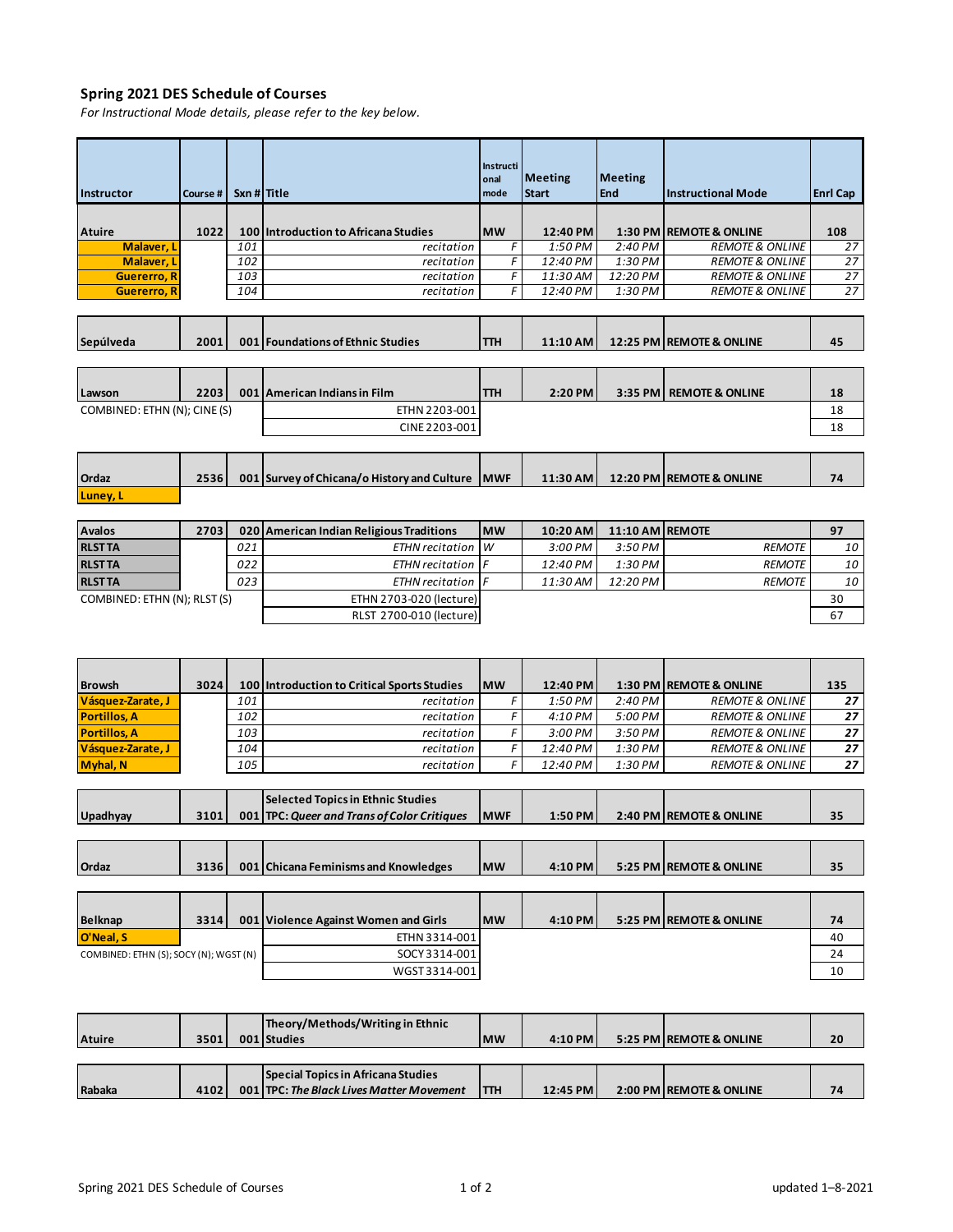## **Spring 2021 DES Schedule of Courses**

*For Instructional Mode details, please refer to the key below.*

| Instructor                             | Course # | Sxn # Title |                                                 | <b>Instructi</b><br>onal<br>mode | <b>Meeting</b><br><b>Start</b> | <b>Meeting</b><br>End | <b>Instructional Mode</b>  | <b>Enrl Cap</b> |
|----------------------------------------|----------|-------------|-------------------------------------------------|----------------------------------|--------------------------------|-----------------------|----------------------------|-----------------|
|                                        |          |             |                                                 |                                  |                                |                       |                            |                 |
| <b>Atuire</b>                          | 1022     | 100         | Introduction to Africana Studies                | <b>MW</b>                        | 12:40 PM                       | 1:30 PM               | <b>REMOTE &amp; ONLINE</b> | 108             |
| Malaver, L                             |          | 101         | recitation                                      | F                                | 1:50 PM                        | 2:40 PM               | <b>REMOTE &amp; ONLINE</b> | 27              |
| Malaver, L                             |          | 102         | recitation                                      | F                                | 12:40 PM                       | 1:30 PM               | <b>REMOTE &amp; ONLINE</b> | 27              |
| <b>Guererro, R</b>                     |          | 103         | recitation                                      | F                                | 11:30 AM                       | 12:20 PM              | <b>REMOTE &amp; ONLINE</b> | 27              |
| <b>Guererro, R</b>                     |          | 104         | recitation                                      | F                                | 12:40 PM                       | 1:30 PM               | <b>REMOTE &amp; ONLINE</b> | 27              |
|                                        |          |             |                                                 |                                  |                                |                       |                            |                 |
| Sepúlveda                              | 2001     |             | 001 Foundations of Ethnic Studies               | ттн                              | 11:10 AM                       |                       | 12:25 PM REMOTE & ONLINE   | 45              |
|                                        |          |             |                                                 |                                  |                                |                       |                            |                 |
|                                        |          |             |                                                 |                                  |                                |                       |                            |                 |
| Lawson                                 | 2203     |             | 001 American Indians in Film                    | <b>TTH</b>                       | 2:20 PM                        |                       | 3:35 PM   REMOTE & ONLINE  | 18              |
| COMBINED: ETHN (N); CINE (S)           |          |             | ETHN 2203-001                                   |                                  |                                |                       |                            | 18              |
|                                        |          |             | CINE 2203-001                                   |                                  |                                |                       |                            | 18              |
|                                        |          |             |                                                 |                                  |                                |                       |                            |                 |
|                                        |          |             |                                                 |                                  |                                |                       |                            |                 |
| Ordaz                                  | 2536     |             | 001 Survey of Chicana/o History and Culture MWF |                                  | 11:30 AM                       |                       | 12:20 PM REMOTE & ONLINE   | 74              |
| Luney, L                               |          |             |                                                 |                                  |                                |                       |                            |                 |
|                                        |          |             |                                                 |                                  |                                |                       |                            |                 |
| <b>Avalos</b>                          | 2703     | 020         | American Indian Religious Traditions            | <b>MW</b>                        | 10:20 AM                       | 11:10 AM              | <b>REMOTE</b>              | 97              |
| <b>RLSTTA</b>                          |          | 021         | ETHN recitation                                 | W                                | 3:00 PM                        | 3:50 PM               | <b>REMOTE</b>              | 10              |
| <b>RLSTTA</b>                          |          | 022         | <b>ETHN</b> recitation                          | F                                | 12:40 PM                       | 1:30 PM               | <b>REMOTE</b>              | 10              |
| <b>RLST TA</b>                         |          | 023         | <b>ETHN</b> recitation                          | F                                | 11:30 AM                       | 12:20 PM              | <b>REMOTE</b>              | 10              |
| COMBINED: ETHN (N); RLST (S)           |          |             | ETHN 2703-020 (lecture)                         |                                  |                                |                       |                            | 30              |
|                                        |          |             | RLST 2700-010 (lecture)                         |                                  |                                |                       |                            | 67              |
|                                        |          |             |                                                 |                                  |                                |                       |                            |                 |
|                                        |          |             |                                                 |                                  |                                |                       |                            |                 |
|                                        |          |             |                                                 |                                  |                                |                       |                            |                 |
| <b>Browsh</b>                          | 3024     | 100         | Introduction to Critical Sports Studies         | <b>MW</b>                        | 12:40 PM                       |                       | 1:30 PM REMOTE & ONLINE    | 135             |
| Vásquez-Zarate, J                      |          | 101         | recitation                                      | F                                | 1:50 PM                        | 2:40 PM               | <b>REMOTE &amp; ONLINE</b> | 27              |
| <b>Portillos, A</b>                    |          | 102         | recitation                                      | F                                | 4:10 PM                        | 5:00 PM               | <b>REMOTE &amp; ONLINE</b> | 27              |
| <b>Portillos, A</b>                    |          | 103         | recitation                                      | F                                | 3:00 PM                        | 3:50 PM               | <b>REMOTE &amp; ONLINE</b> | 27              |
| Vásquez-Zarate, J                      |          | 104         | recitation                                      | F                                | 12:40 PM                       | 1:30 PM               | <b>REMOTE &amp; ONLINE</b> | 27              |
| Myhal, N                               |          | 105         | recitation                                      | F                                | 12:40 PM                       | 1:30 PM               | <b>REMOTE &amp; ONLINE</b> | 27              |
|                                        |          |             |                                                 |                                  |                                |                       |                            |                 |
|                                        |          |             | <b>Selected Topics in Ethnic Studies</b>        |                                  |                                |                       |                            |                 |
| Upadhyay                               | 3101     |             | 001   TPC: Queer and Trans of Color Critiques   | <b>MWF</b>                       | 1:50 PM                        |                       | 2:40 PM REMOTE & ONLINE    | 35              |
|                                        |          |             |                                                 |                                  |                                |                       |                            |                 |
|                                        |          |             |                                                 |                                  |                                |                       |                            |                 |
| Ordaz                                  | 3136     |             | 001 Chicana Feminisms and Knowledges            | <b>MW</b>                        | 4:10 PM                        |                       | 5:25 PM REMOTE & ONLINE    | 35              |
|                                        |          |             |                                                 |                                  |                                |                       |                            |                 |
|                                        |          |             |                                                 |                                  |                                |                       |                            |                 |
| <b>Belknap</b>                         | 3314     | 001         | <b>Violence Against Women and Girls</b>         | <b>MW</b>                        | 4:10 PM                        |                       | 5:25 PM REMOTE & ONLINE    | 74              |
| O'Neal. S                              |          |             | ETHN 3314-001                                   |                                  |                                |                       |                            | 40              |
| COMBINED: ETHN (S); SOCY (N); WGST (N) |          |             | SOCY 3314-001                                   |                                  |                                |                       |                            | 24              |
|                                        |          |             | WGST 3314-001                                   |                                  |                                |                       |                            | 10              |
|                                        |          |             |                                                 |                                  |                                |                       |                            |                 |
|                                        |          |             |                                                 |                                  |                                |                       |                            |                 |